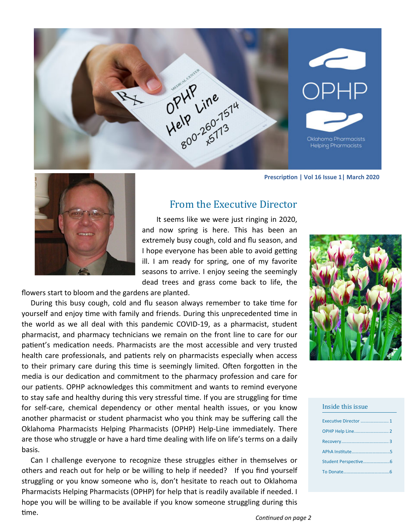

**PrescripƟon | Vol 16 Issue 1| March 2020**



# From the Executive Director

 It seems like we were just ringing in 2020, and now spring is here. This has been an extremely busy cough, cold and flu season, and I hope everyone has been able to avoid getting ill. I am ready for spring, one of my favorite seasons to arrive. I enjoy seeing the seemingly dead trees and grass come back to life, the

flowers start to bloom and the gardens are planted.

During this busy cough, cold and flu season always remember to take time for yourself and enjoy time with family and friends. During this unprecedented time in the world as we all deal with this pandemic COVID‐19, as a pharmacist, student pharmacist, and pharmacy technicians we remain on the front line to care for our patient's medication needs. Pharmacists are the most accessible and very trusted health care professionals, and patients rely on pharmacists especially when access to their primary care during this time is seemingly limited. Often forgotten in the media is our dedication and commitment to the pharmacy profession and care for our patients. OPHP acknowledges this commitment and wants to remind everyone to stay safe and healthy during this very stressful time. If you are struggling for time for self-care, chemical dependency or other mental health issues, or you know another pharmacist or student pharmacist who you think may be suffering call the Oklahoma Pharmacists Helping Pharmacists (OPHP) Help‐Line immediately. There are those who struggle or have a hard time dealing with life on life's terms on a daily basis.

 Can I challenge everyone to recognize these struggles either in themselves or others and reach out for help or be willing to help if needed? If you find yourself struggling or you know someone who is, don't hesitate to reach out to Oklahoma Pharmacists Helping Pharmacists (OPHP) for help that is readily available if needed. I hope you will be willing to be available if you know someone struggling during this time.



#### Inside this issue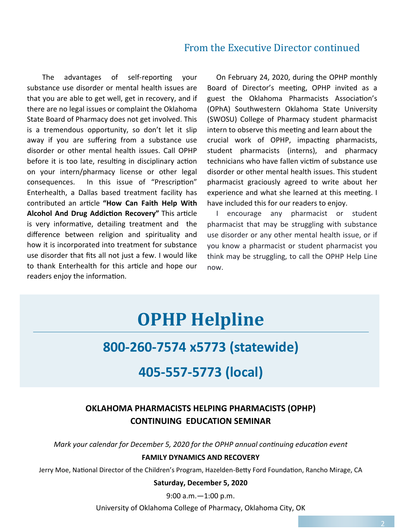# From the Executive Director continued

The advantages of self-reporting your substance use disorder or mental health issues are that you are able to get well, get in recovery, and if there are no legal issues or complaint the Oklahoma State Board of Pharmacy does not get involved. This is a tremendous opportunity, so don't let it slip away if you are suffering from a substance use disorder or other mental health issues. Call OPHP before it is too late, resulting in disciplinary action on your intern/pharmacy license or other legal consequences. In this issue of "Prescription" Enterhealth, a Dallas based treatment facility has contributed an article "How Can Faith Help With **Alcohol And Drug Addiction Recovery"** This article is very informative, detailing treatment and the difference between religion and spirituality and how it is incorporated into treatment for substance use disorder that fits all not just a few. I would like to thank Enterhealth for this article and hope our readers enjoy the information.

 On February 24, 2020, during the OPHP monthly Board of Director's meeting, OPHP invited as a guest the Oklahoma Pharmacists Association's (OPhA) Southwestern Oklahoma State University (SWOSU) College of Pharmacy student pharmacist intern to observe this meeting and learn about the crucial work of OPHP, impacting pharmacists, student pharmacists (interns), and pharmacy technicians who have fallen victim of substance use disorder or other mental health issues. This student pharmacist graciously agreed to write about her experience and what she learned at this meeting. I have included this for our readers to enjoy.

 I encourage any pharmacist or student pharmacist that may be struggling with substance use disorder or any other mental health issue, or if you know a pharmacist or student pharmacist you think may be struggling, to call the OPHP Help Line now.

# **OPHP Helpline**

# **800‐260‐7574 x5773 (statewide)**

# **405‐557‐5773 (local)**

# **OKLAHOMA PHARMACISTS HELPING PHARMACISTS (OPHP) CONTINUING EDUCATION SEMINAR**

*Mark your calendar for December 5, 2020 for the OPHP annual continuing education event* 

#### **FAMILY DYNAMICS AND RECOVERY**

Jerry Moe, National Director of the Children's Program, Hazelden-Betty Ford Foundation, Rancho Mirage, CA

#### **Saturday, December 5, 2020**

9:00 a.m.—1:00 p.m.

University of Oklahoma College of Pharmacy, Oklahoma City, OK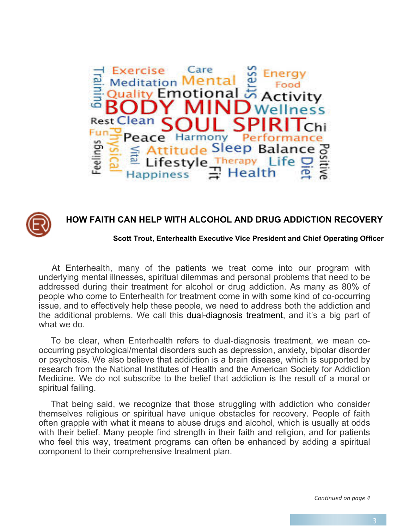



# **HOW FAITH CAN HELP WITH ALCOHOL AND DRUG ADDICTION RECOVERY**

#### **Scott Trout, Enterhealth Executive Vice President and Chief Operating Officer**

 At Enterhealth, many of the patients we treat come into our program with underlying mental illnesses, spiritual dilemmas and personal problems that need to be addressed during their treatment for alcohol or drug addiction. As many as 80% of people who come to Enterhealth for treatment come in with some kind of co-occurring issue, and to effectively help these people, we need to address both the addiction and the additional problems. We call this dual-diagnosis treatment, and it's a big part of what we do.

 To be clear, when Enterhealth refers to dual-diagnosis treatment, we mean cooccurring psychological/mental disorders such as depression, anxiety, bipolar disorder or psychosis. We also believe that addiction is a brain disease, which is supported by research from the National Institutes of Health and the American Society for Addiction Medicine. We do not subscribe to the belief that addiction is the result of a moral or spiritual failing.

 That being said, we recognize that those struggling with addiction who consider themselves religious or spiritual have unique obstacles for recovery. People of faith often grapple with what it means to abuse drugs and alcohol, which is usually at odds with their belief. Many people find strength in their faith and religion, and for patients who feel this way, treatment programs can often be enhanced by adding a spiritual component to their comprehensive treatment plan.

*ConƟnued on page 4*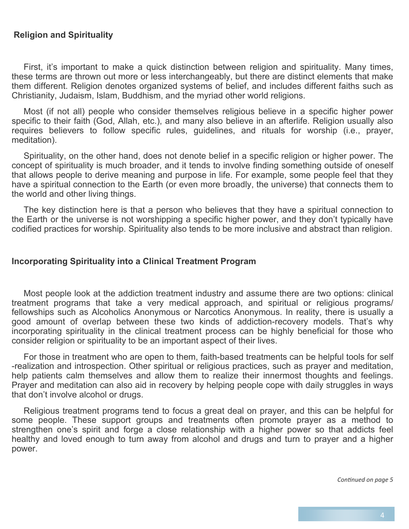### **Religion and Spirituality**

 First, it's important to make a quick distinction between religion and spirituality. Many times, these terms are thrown out more or less interchangeably, but there are distinct elements that make them different. Religion denotes organized systems of belief, and includes different faiths such as Christianity, Judaism, Islam, Buddhism, and the myriad other world religions.

 Most (if not all) people who consider themselves religious believe in a specific higher power specific to their faith (God, Allah, etc.), and many also believe in an afterlife. Religion usually also requires believers to follow specific rules, guidelines, and rituals for worship (i.e., prayer, meditation).

 Spirituality, on the other hand, does not denote belief in a specific religion or higher power. The concept of spirituality is much broader, and it tends to involve finding something outside of oneself that allows people to derive meaning and purpose in life. For example, some people feel that they have a spiritual connection to the Earth (or even more broadly, the universe) that connects them to the world and other living things.

 The key distinction here is that a person who believes that they have a spiritual connection to the Earth or the universe is not worshipping a specific higher power, and they don't typically have codified practices for worship. Spirituality also tends to be more inclusive and abstract than religion.

#### **Incorporating Spirituality into a Clinical Treatment Program**

 Most people look at the addiction treatment industry and assume there are two options: clinical treatment programs that take a very medical approach, and spiritual or religious programs/ fellowships such as Alcoholics Anonymous or Narcotics Anonymous. In reality, there is usually a good amount of overlap between these two kinds of addiction-recovery models. That's why incorporating spirituality in the clinical treatment process can be highly beneficial for those who consider religion or spirituality to be an important aspect of their lives.

 For those in treatment who are open to them, faith-based treatments can be helpful tools for self -realization and introspection. Other spiritual or religious practices, such as prayer and meditation, help patients calm themselves and allow them to realize their innermost thoughts and feelings. Prayer and meditation can also aid in recovery by helping people cope with daily struggles in ways that don't involve alcohol or drugs.

 Religious treatment programs tend to focus a great deal on prayer, and this can be helpful for some people. These support groups and treatments often promote prayer as a method to strengthen one's spirit and forge a close relationship with a higher power so that addicts feel healthy and loved enough to turn away from alcohol and drugs and turn to prayer and a higher power.

*ConƟnued on page 5*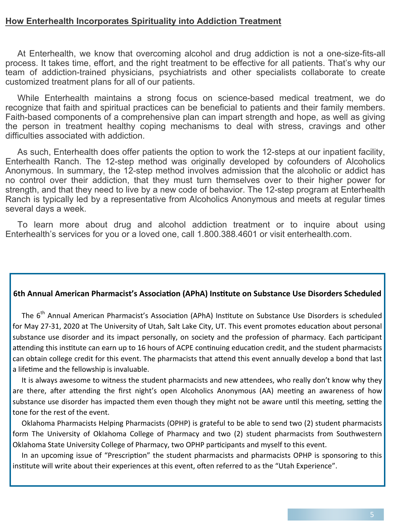### **How Enterhealth Incorporates Spirituality into Addiction Treatment**

 At Enterhealth, we know that overcoming alcohol and drug addiction is not a one-size-fits-all process. It takes time, effort, and the right treatment to be effective for all patients. That's why our team of addiction-trained physicians, psychiatrists and other specialists collaborate to create customized treatment plans for all of our patients.

 While Enterhealth maintains a strong focus on science-based medical treatment, we do recognize that faith and spiritual practices can be beneficial to patients and their family members. Faith-based components of a comprehensive plan can impart strength and hope, as well as giving the person in treatment healthy coping mechanisms to deal with stress, cravings and other difficulties associated with addiction.

 As such, Enterhealth does offer patients the option to work the 12-steps at our inpatient facility, Enterhealth Ranch. The 12-step method was originally developed by cofounders of Alcoholics Anonymous. In summary, the 12-step method involves admission that the alcoholic or addict has no control over their addiction, that they must turn themselves over to their higher power for strength, and that they need to live by a new code of behavior. The 12-step program at Enterhealth Ranch is typically led by a representative from Alcoholics Anonymous and meets at regular times several days a week.

 To learn more about drug and alcohol addiction treatment or to inquire about using Enterhealth's services for you or a loved one, call 1.800.388.4601 or visit enterhealth.com.

#### **6th Annual American Pharmacist's AssociaƟon (APhA) InsƟtute on Substance Use Disorders Scheduled**

The 6<sup>th</sup> Annual American Pharmacist's Association (APhA) Institute on Substance Use Disorders is scheduled for May 27-31, 2020 at The University of Utah, Salt Lake City, UT. This event promotes education about personal substance use disorder and its impact personally, on society and the profession of pharmacy. Each participant attending this institute can earn up to 16 hours of ACPE continuing education credit, and the student pharmacists can obtain college credit for this event. The pharmacists that attend this event annually develop a bond that last a lifetime and the fellowship is invaluable.

It is always awesome to witness the student pharmacists and new attendees, who really don't know why they are there, after attending the first night's open Alcoholics Anonymous (AA) meeting an awareness of how substance use disorder has impacted them even though they might not be aware until this meeting, setting the tone for the rest of the event.

 Oklahoma Pharmacists Helping Pharmacists (OPHP) is grateful to be able to send two (2) student pharmacists form The University of Oklahoma College of Pharmacy and two (2) student pharmacists from Southwestern Oklahoma State University College of Pharmacy, two OPHP participants and myself to this event.

In an upcoming issue of "Prescription" the student pharmacists and pharmacists OPHP is sponsoring to this institute will write about their experiences at this event, often referred to as the "Utah Experience".